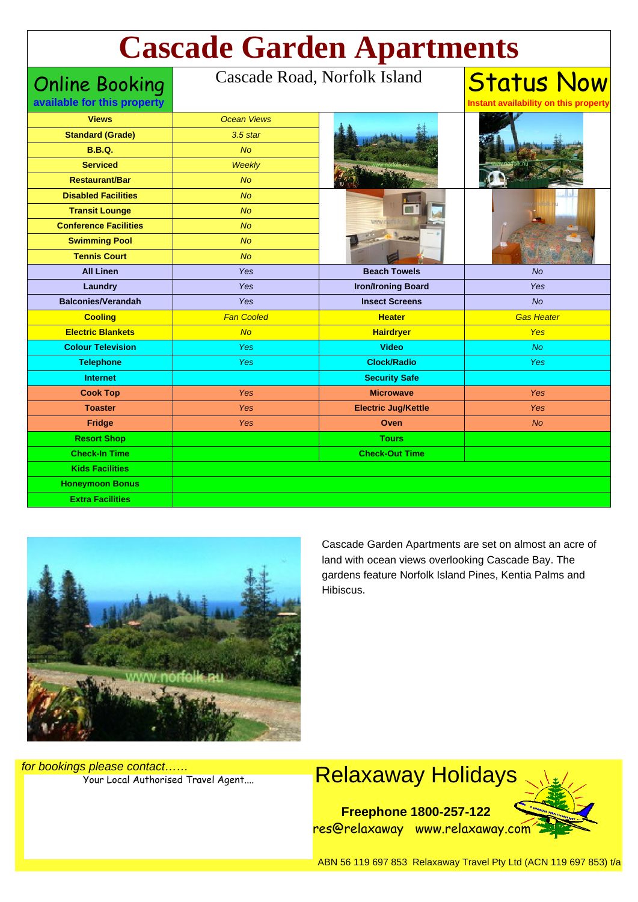# **Cascade Garden Apartments**

Online Booking **available for this prop** 

#### Cascade Road, Norfolk Island

| <b>Views</b>                 | <b>Ocean Views</b> |                            |                   |
|------------------------------|--------------------|----------------------------|-------------------|
| <b>Standard (Grade)</b>      | $3.5$ star         |                            |                   |
| <b>B.B.Q.</b>                | No                 |                            |                   |
| <b>Serviced</b>              | <b>Weekly</b>      |                            |                   |
| <b>Restaurant/Bar</b>        | <b>No</b>          |                            |                   |
| <b>Disabled Facilities</b>   | No                 |                            |                   |
| <b>Transit Lounge</b>        | <b>No</b>          |                            |                   |
| <b>Conference Facilities</b> | N <sub>O</sub>     | <b>WWW</b>                 |                   |
| <b>Swimming Pool</b>         | <b>No</b>          |                            |                   |
| <b>Tennis Court</b>          | No                 |                            |                   |
| <b>All Linen</b>             | Yes                | <b>Beach Towels</b>        | <b>No</b>         |
| Laundry                      | Yes                | <b>Iron/Ironing Board</b>  | Yes               |
| <b>Balconies/Verandah</b>    | Yes                | <b>Insect Screens</b>      | No                |
| <b>Cooling</b>               | <b>Fan Cooled</b>  | <b>Heater</b>              | <b>Gas Heater</b> |
| <b>Electric Blankets</b>     | No                 | <b>Hairdryer</b>           | <b>Yes</b>        |
| <b>Colour Television</b>     | Yes                | <b>Video</b>               | <b>No</b>         |
| <b>Telephone</b>             | Yes                | <b>Clock/Radio</b>         | Yes               |
| <b>Internet</b>              |                    | <b>Security Safe</b>       |                   |
| <b>Cook Top</b>              | Yes                | <b>Microwave</b>           | Yes               |
| <b>Toaster</b>               | Yes                | <b>Electric Jug/Kettle</b> | Yes               |
| <b>Fridge</b>                | Yes                | Oven                       | <b>No</b>         |
| <b>Resort Shop</b>           |                    | <b>Tours</b>               |                   |
| <b>Check-In Time</b>         |                    | <b>Check-Out Time</b>      |                   |
| <b>Kids Facilities</b>       |                    |                            |                   |
| <b>Honeymoon Bonus</b>       |                    |                            |                   |
| <b>Extra Facilities</b>      |                    |                            |                   |



Cascade Garden Apartments are set on almost an acre of land with ocean views overlooking Cascade Bay. The gardens feature Norfolk Island Pines, Kentia Palms and Hibiscus.

Status Now

**Instant availability on this property**

for bookings please contact……